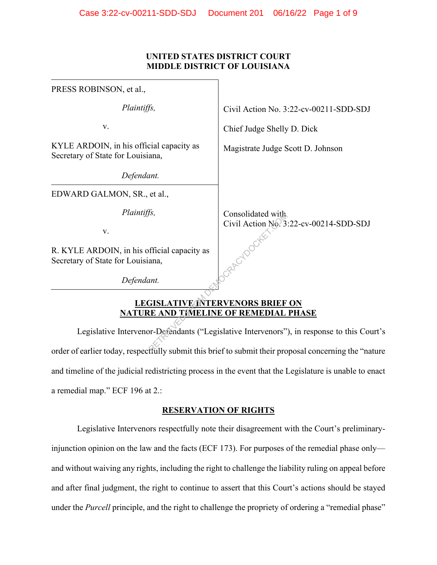## **UNITED STATES DISTRICT COURT MIDDLE DISTRICT OF LOUISIANA**

| PRESS ROBINSON, et al.,                                                                             |                                        |
|-----------------------------------------------------------------------------------------------------|----------------------------------------|
| Plaintiffs,                                                                                         | Civil Action No. 3:22-cv-00211-SDD-SDJ |
| V.                                                                                                  | Chief Judge Shelly D. Dick             |
| KYLE ARDOIN, in his official capacity as<br>Secretary of State for Louisiana,                       | Magistrate Judge Scott D. Johnson      |
| Defendant.                                                                                          |                                        |
| EDWARD GALMON, SR., et al.,                                                                         |                                        |
| Plaintiffs,                                                                                         | Consolidated with                      |
| V.                                                                                                  | Civil Action No. 3:22-cv-00214-SDD-SDJ |
| R. KYLE ARDOIN, in his official capacity as<br>Secretary of State for Louisiana,                    |                                        |
| Defendant.                                                                                          |                                        |
| <b>LEGISLATIVE INTERVENORS BRIEF ON</b>                                                             |                                        |
| <b>NATURE AND TIMELINE OF REMEDIAL PHASE</b>                                                        |                                        |
| Legislative Intervenor-Defendants ("Legislative Intervenors"), in response to this Cour             |                                        |
| order of earlier today respectfully submit this brief to submit their proposal concerning the "nati |                                        |

# **LEGISLATIVE INTERVENORS BRIEF ON NATURE AND TIMELINE OF REMEDIAL PHASE**

Legislative Intervenor-Defendants ("Legislative Intervenors"), in response to this Court's order of earlier today, respectfully submit this brief to submit their proposal concerning the "nature and timeline of the judicial redistricting process in the event that the Legislature is unable to enact a remedial map." ECF 196 at 2.:

# **RESERVATION OF RIGHTS**

Legislative Intervenors respectfully note their disagreement with the Court's preliminaryinjunction opinion on the law and the facts (ECF 173). For purposes of the remedial phase only and without waiving any rights, including the right to challenge the liability ruling on appeal before and after final judgment, the right to continue to assert that this Court's actions should be stayed under the *Purcell* principle, and the right to challenge the propriety of ordering a "remedial phase"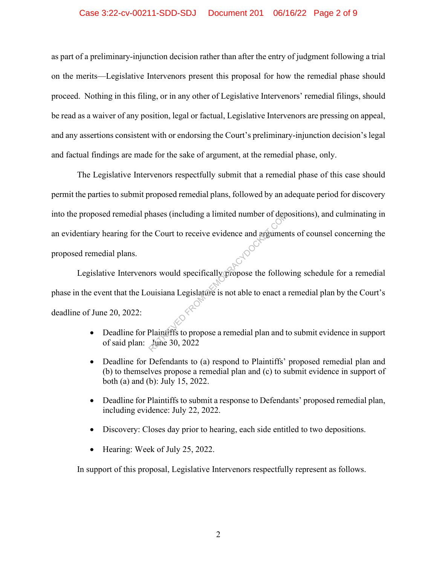## Case 3:22-cv-00211-SDD-SDJ Document 201 06/16/22 Page 2 of 9

as part of a preliminary-injunction decision rather than after the entry of judgment following a trial on the merits—Legislative Intervenors present this proposal for how the remedial phase should proceed. Nothing in this filing, or in any other of Legislative Intervenors' remedial filings, should be read as a waiver of any position, legal or factual, Legislative Intervenors are pressing on appeal, and any assertions consistent with or endorsing the Court's preliminary-injunction decision's legal and factual findings are made for the sake of argument, at the remedial phase, only.

The Legislative Intervenors respectfully submit that a remedial phase of this case should permit the parties to submit proposed remedial plans, followed by an adequate period for discovery into the proposed remedial phases (including a limited number of depositions), and culminating in an evidentiary hearing for the Court to receive evidence and arguments of counsel concerning the proposed remedial plans.

Legislative Intervenors would specifically propose the following schedule for a remedial phase in the event that the Louisiana Legislature is not able to enact a remedial plan by the Court's deadline of June 20, 2022: hases (including a limited number of dep<br>
e Court to receive evidence and argumen<br>
ors would specifically propose the follow<br>
buisiana Legislature is not able to enact a<br>
Plaintiffs to propose a remedial plan and t<br>
June 3

- Deadline for Plaintiffs to propose a remedial plan and to submit evidence in support of said plan: June 30, 2022
- Deadline for Defendants to (a) respond to Plaintiffs' proposed remedial plan and (b) to themselves propose a remedial plan and (c) to submit evidence in support of both (a) and (b): July 15, 2022.
- Deadline for Plaintiffs to submit a response to Defendants' proposed remedial plan, including evidence: July 22, 2022.
- Discovery: Closes day prior to hearing, each side entitled to two depositions.
- Hearing: Week of July 25, 2022.

In support of this proposal, Legislative Intervenors respectfully represent as follows.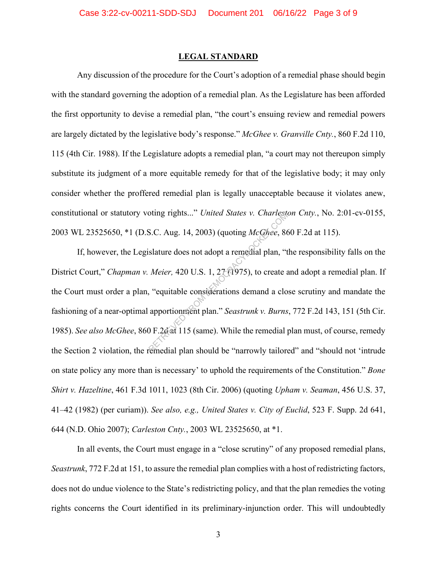#### **LEGAL STANDARD**

Any discussion of the procedure for the Court's adoption of a remedial phase should begin with the standard governing the adoption of a remedial plan. As the Legislature has been afforded the first opportunity to devise a remedial plan, "the court's ensuing review and remedial powers are largely dictated by the legislative body's response." *McGhee v. Granville Cnty.*, 860 F.2d 110, 115 (4th Cir. 1988). If the Legislature adopts a remedial plan, "a court may not thereupon simply substitute its judgment of a more equitable remedy for that of the legislative body; it may only consider whether the proffered remedial plan is legally unacceptable because it violates anew, constitutional or statutory voting rights..." *United States v. Charleston Cnty.*, No. 2:01-cv-0155, 2003 WL 23525650, \*1 (D.S.C. Aug. 14, 2003) (quoting *McGhee*, 860 F.2d at 115).

If, however, the Legislature does not adopt a remedial plan, "the responsibility falls on the District Court," *Chapman v. Meier,* 420 U.S. 1, 27 (1975), to create and adopt a remedial plan. If the Court must order a plan, "equitable considerations demand a close scrutiny and mandate the fashioning of a near-optimal apportionment plan." *Seastrunk v. Burns*, 772 F.2d 143, 151 (5th Cir. 1985). *See also McGhee*, 860 F.2d at 115 (same). While the remedial plan must, of course, remedy the Section 2 violation, the remedial plan should be "narrowly tailored" and "should not 'intrude on state policy any more than is necessary' to uphold the requirements of the Constitution." *Bone Shirt v. Hazeltine*, 461 F.3d 1011, 1023 (8th Cir. 2006) (quoting *Upham v. Seaman*, 456 U.S. 37, 41–42 (1982) (per curiam)). *See also, e.g., United States v. City of Euclid*, 523 F. Supp. 2d 641, 644 (N.D. Ohio 2007); *Carleston Cnty.*, 2003 WL 23525650, at \*1. S.C. Aug. 14, 2003) (quoting *McGhee*, 86<br>slature does not adopt a remedial plan, "t<br>*Meier*, 420 U.S. 1, 27 (1975), to create a<br>"equitable considerations demand a clo<br>apportionment plan." *Seastrunk v. Burns*<br> $D F. 2d$  at

In all events, the Court must engage in a "close scrutiny" of any proposed remedial plans, *Seastrunk*, 772 F.2d at 151, to assure the remedial plan complies with a host of redistricting factors, does not do undue violence to the State's redistricting policy, and that the plan remedies the voting rights concerns the Court identified in its preliminary-injunction order. This will undoubtedly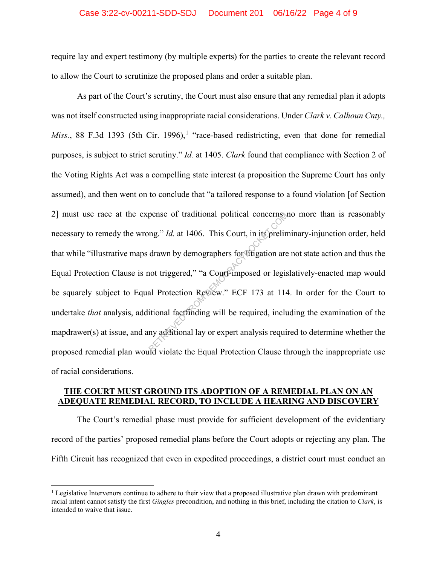#### Case 3:22-cv-00211-SDD-SDJ Document 201 06/16/22 Page 4 of 9

require lay and expert testimony (by multiple experts) for the parties to create the relevant record to allow the Court to scrutinize the proposed plans and order a suitable plan.

As part of the Court's scrutiny, the Court must also ensure that any remedial plan it adopts was not itself constructed using inappropriate racial considerations. Under *Clark v. Calhoun Cnty., Miss.*, 88 F.3d 1393 (5th Cir. 1996),<sup>1</sup> "race-based redistricting, even that done for remedial purposes, is subject to strict scrutiny." *Id.* at 1405. *Clark* found that compliance with Section 2 of the Voting Rights Act was a compelling state interest (a proposition the Supreme Court has only assumed), and then went on to conclude that "a tailored response to a found violation [of Section 2] must use race at the expense of traditional political concerns no more than is reasonably necessary to remedy the wrong." *Id.* at 1406. This Court, in its preliminary-injunction order, held that while "illustrative maps drawn by demographers for litigation are not state action and thus the Equal Protection Clause is not triggered," "a Court-imposed or legislatively-enacted map would be squarely subject to Equal Protection Review." ECF 173 at 114. In order for the Court to undertake *that* analysis, additional factfinding will be required, including the examination of the mapdrawer(s) at issue, and any additional lay or expert analysis required to determine whether the proposed remedial plan would violate the Equal Protection Clause through the inappropriate use of racial considerations. pense of traditional political concerns<br>
ang." *Id.* at 1406. This Court, in its prelin<br>
drawn by demographers for fitigation are<br>
not triggered," "a Court-imposed or legis<br>
al Protection Review." ECF 173 at 114<br>
itional f

## **THE COURT MUST GROUND ITS ADOPTION OF A REMEDIAL PLAN ON AN ADEQUATE REMEDIAL RECORD, TO INCLUDE A HEARING AND DISCOVERY**

The Court's remedial phase must provide for sufficient development of the evidentiary record of the parties' proposed remedial plans before the Court adopts or rejecting any plan. The Fifth Circuit has recognized that even in expedited proceedings, a district court must conduct an

<sup>&</sup>lt;sup>1</sup> Legislative Intervenors continue to adhere to their view that a proposed illustrative plan drawn with predominant racial intent cannot satisfy the first *Gingles* precondition, and nothing in this brief, including the citation to *Clark*, is intended to waive that issue.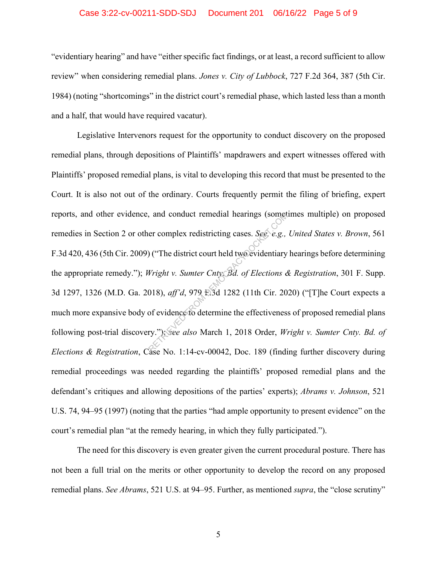#### Case 3:22-cv-00211-SDD-SDJ Document 201 06/16/22 Page 5 of 9

"evidentiary hearing" and have "either specific fact findings, or at least, a record sufficient to allow review" when considering remedial plans. *Jones v. City of Lubbock*, 727 F.2d 364, 387 (5th Cir. 1984) (noting "shortcomings" in the district court's remedial phase, which lasted less than a month and a half, that would have required vacatur).

Legislative Intervenors request for the opportunity to conduct discovery on the proposed remedial plans, through depositions of Plaintiffs' mapdrawers and expert witnesses offered with Plaintiffs' proposed remedial plans, is vital to developing this record that must be presented to the Court. It is also not out of the ordinary. Courts frequently permit the filing of briefing, expert reports, and other evidence, and conduct remedial hearings (sometimes multiple) on proposed remedies in Section 2 or other complex redistricting cases. *See, e.g., United States v. Brown*, 561 F.3d 420, 436 (5th Cir. 2009) ("The district court held two evidentiary hearings before determining the appropriate remedy."); *Wright v. Sumter Cnty. Bd. of Elections & Registration*, 301 F. Supp. 3d 1297, 1326 (M.D. Ga. 2018), *aff'd*, 979 F.3d 1282 (11th Cir. 2020) ("[T]he Court expects a much more expansive body of evidence to determine the effectiveness of proposed remedial plans following post-trial discovery."); *see also* March 1, 2018 Order, *Wright v. Sumter Cnty. Bd. of Elections & Registration*, Case No. 1:14-cv-00042, Doc. 189 (finding further discovery during remedial proceedings was needed regarding the plaintiffs' proposed remedial plans and the defendant's critiques and allowing depositions of the parties' experts); *Abrams v. Johnson*, 521 U.S. 74, 94–95 (1997) (noting that the parties "had ample opportunity to present evidence" on the court's remedial plan "at the remedy hearing, in which they fully participated."). and conduct remedial hearings (sometimes)<br>
er complex redistricting cases. *See, e.g.*,<br>  $Vright v. Sumter CntyBd. of Electronics d  
\n018), aff'd, 979 E3d 1282 (11th Cir. 20  
\n0180 of evidence to determine the effectiveness  
\nry. "): See also March 1, 2018 Order, Wi$ 

The need for this discovery is even greater given the current procedural posture. There has not been a full trial on the merits or other opportunity to develop the record on any proposed remedial plans. *See Abrams*, 521 U.S. at 94–95. Further, as mentioned *supra*, the "close scrutiny"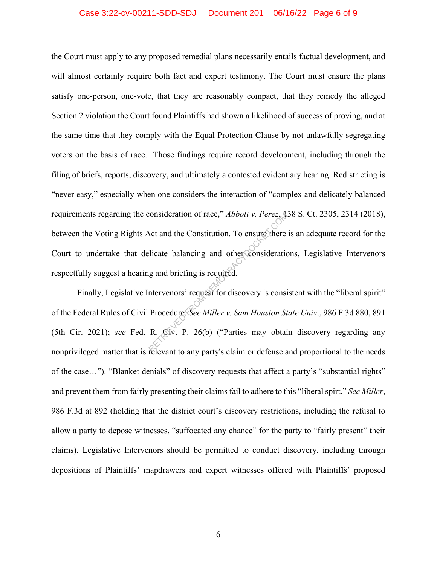## Case 3:22-cv-00211-SDD-SDJ Document 201 06/16/22 Page 6 of 9

the Court must apply to any proposed remedial plans necessarily entails factual development, and will almost certainly require both fact and expert testimony. The Court must ensure the plans satisfy one-person, one-vote, that they are reasonably compact, that they remedy the alleged Section 2 violation the Court found Plaintiffs had shown a likelihood of success of proving, and at the same time that they comply with the Equal Protection Clause by not unlawfully segregating voters on the basis of race. Those findings require record development, including through the filing of briefs, reports, discovery, and ultimately a contested evidentiary hearing. Redistricting is "never easy," especially when one considers the interaction of "complex and delicately balanced requirements regarding the consideration of race," *Abbott v. Perez*, 138 S. Ct. 2305, 2314 (2018), between the Voting Rights Act and the Constitution. To ensure there is an adequate record for the Court to undertake that delicate balancing and other considerations, Legislative Intervenors respectfully suggest a hearing and briefing is required. consideration of race," *Abbott v. Perez, Lead*<br>Act and the Constitution. To ensure there<br>elicate balancing and other consideration<br>g and briefing is required.<br>Intervenors' request for discovery is consideration<br>Procedure:

Finally, Legislative Intervenors' request for discovery is consistent with the "liberal spirit" of the Federal Rules of Civil Procedure. *See Miller v. Sam Houston State Univ*., 986 F.3d 880, 891 (5th Cir. 2021); *see* Fed. R. Civ. P. 26(b) ("Parties may obtain discovery regarding any nonprivileged matter that is relevant to any party's claim or defense and proportional to the needs of the case…"). "Blanket denials" of discovery requests that affect a party's "substantial rights" and prevent them from fairly presenting their claims fail to adhere to this "liberal spirt." *See Miller*, 986 F.3d at 892 (holding that the district court's discovery restrictions, including the refusal to allow a party to depose witnesses, "suffocated any chance" for the party to "fairly present" their claims). Legislative Intervenors should be permitted to conduct discovery, including through depositions of Plaintiffs' mapdrawers and expert witnesses offered with Plaintiffs' proposed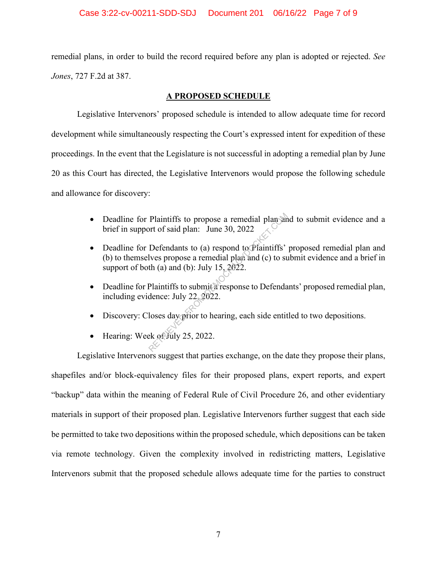remedial plans, in order to build the record required before any plan is adopted or rejected. *See Jones*, 727 F.2d at 387.

# **A PROPOSED SCHEDULE**

Legislative Intervenors' proposed schedule is intended to allow adequate time for record development while simultaneously respecting the Court's expressed intent for expedition of these proceedings. In the event that the Legislature is not successful in adopting a remedial plan by June 20 as this Court has directed, the Legislative Intervenors would propose the following schedule and allowance for discovery:

- Deadline for Plaintiffs to propose a remedial plan and to submit evidence and a brief in support of said plan: June 30, 2022
- Deadline for Defendants to (a) respond to Plaintiffs' proposed remedial plan and (b) to themselves propose a remedial plan and (c) to submit evidence and a brief in support of both (a) and (b): July 15, 2022. Plaintiffs to propose a remedial plan and<br>ort of said plan: June 30, 2022<br>Defendants to (a) respond to Plaintiffs'<br>lves propose a remedial plan and (c) to su<br>th (a) and (b): July 15, 2022.<br>Plaintiffs to submit a response
- Deadline for Plaintiffs to submit a response to Defendants' proposed remedial plan, including evidence: July 22, 2022.
- Discovery: Closes day prior to hearing, each side entitled to two depositions.
- Hearing: Week of July 25, 2022.

Legislative Intervenors suggest that parties exchange, on the date they propose their plans, shapefiles and/or block-equivalency files for their proposed plans, expert reports, and expert "backup" data within the meaning of Federal Rule of Civil Procedure 26, and other evidentiary materials in support of their proposed plan. Legislative Intervenors further suggest that each side be permitted to take two depositions within the proposed schedule, which depositions can be taken via remote technology. Given the complexity involved in redistricting matters, Legislative Intervenors submit that the proposed schedule allows adequate time for the parties to construct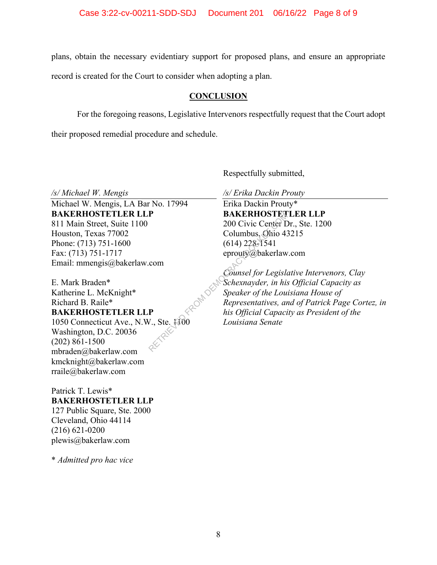plans, obtain the necessary evidentiary support for proposed plans, and ensure an appropriate

record is created for the Court to consider when adopting a plan.

# **CONCLUSION**

For the foregoing reasons, Legislative Intervenors respectfully request that the Court adopt

their proposed remedial procedure and schedule.

Respectfully submitted,

*/s/ Michael W. Mengis* 

Michael W. Mengis, LA Bar No. 17994 **BAKERHOSTETLER LLP**  811 Main Street, Suite 1100 Houston, Texas 77002 Phone: (713) 751-1600 Fax: (713) 751-1717 Email: mmengis@bakerlaw.com

E. Mark Braden\* Katherine L. McKnight\* Richard B. Raile\* **BAKERHOSTETLER LLP** 

# 1050 Connecticut Ave., N.W., Ste. 1100

Washington, D.C. 20036 (202) 861-1500 mbraden@bakerlaw.com kmcknight@bakerlaw.com rraile@bakerlaw.com

# Patrick T. Lewis\* **BAKERHOSTETLER LLP**  127 Public Square, Ste. 2000 Cleveland, Ohio 44114 (216) 621-0200 plewis@bakerlaw.com

\* *Admitted pro hac vice* 

*/s/ Erika Dackin Prouty* 

Erika Dackin Prouty\* **BAKERHOSTETLER LLP**  200 Civic Center Dr., Ste. 1200 Columbus, Ohio 43215 (614) 228-1541 eprouty@bakerlaw.com

*Counsel for Legislative Intervenors, Clay Schexnayder, in his Official Capacity as Speaker of the Louisiana House of Representatives, and of Patrick Page Cortez, in his Official Capacity as President of the Louisiana Senate*  RETRICE SAKERHOSTER<br>
200 Civic Center L<br>
Columbus, Ohio 4:<br>
(614) 228-1541<br>
eprouty@bakerlaw<br>
com<br>
Counsel for Legisla<br>
Schexnayder, in his<br>
Speaker of the Lou<br>
Representatives, ar<br>
his Official Capaci<br>
Louisiana Senate